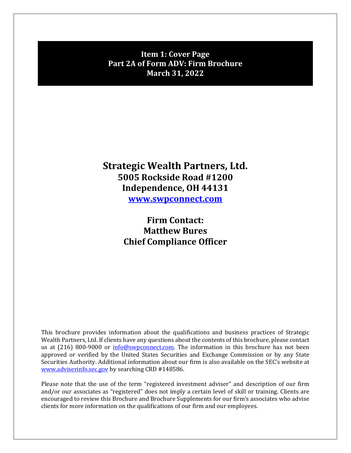**Item 1: Cover Page Part 2A of Form ADV: Firm Brochure March 31, 2022**

# **Strategic Wealth Partners, Ltd. 5005 Rockside Road #1200 Independence, OH 44131 www.swpconnect.com**

**Firm Contact: Matthew Bures Chief Compliance Officer**

This brochure provides information about the qualifications and business practices of Strategic Wealth Partners, Ltd. If clients have any questions about the contents of this brochure, please contact us at (216) 800-9000 or info@swpconnect.com. The information in this brochure has not been approved or verified by the United States Securities and Exchange Commission or by any State Securities Authority. Additional information about our firm is also available on the SEC's website at www.adviserinfo.sec.gov by searching CRD #148586.

Please note that the use of the term "registered investment adviser" and description of our firm and/or our associates as "registered" does not imply a certain level of skill or training. Clients are encouraged to review this Brochure and Brochure Supplements for our firm's associates who advise clients for more information on the qualifications of our firm and our employees.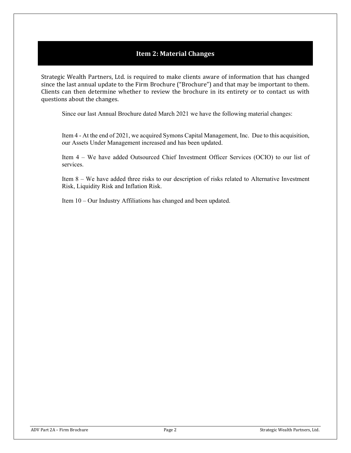# **Item 2: Material Changes**

Strategic Wealth Partners, Ltd. is required to make clients aware of information that has changed since the last annual update to the Firm Brochure ("Brochure") and that may be important to them. Clients can then determine whether to review the brochure in its entirety or to contact us with questions about the changes.

Since our last Annual Brochure dated March 2021 we have the following material changes:

Item 4 - At the end of 2021, we acquired Symons Capital Management, Inc. Due to this acquisition, our Assets Under Management increased and has been updated.

Item 4 – We have added Outsourced Chief Investment Officer Services (OCIO) to our list of services.

Item 8 – We have added three risks to our description of risks related to Alternative Investment Risk, Liquidity Risk and Inflation Risk.

Item 10 – Our Industry Affiliations has changed and been updated.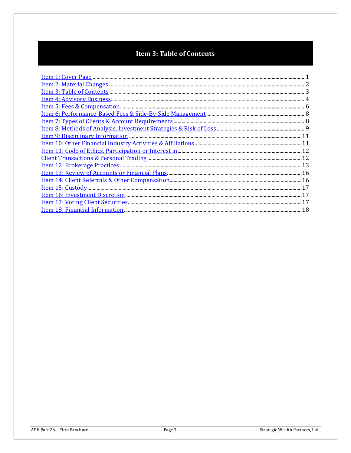# **Item 3: Table of Contents**

| Item 11: Code of Ethics, Participation or Interest in <b>manufacture of the Code of Ethics</b> , Participation or Interest in <b>manufacture of the Code of Ethics</b> , 22 |  |
|-----------------------------------------------------------------------------------------------------------------------------------------------------------------------------|--|
|                                                                                                                                                                             |  |
|                                                                                                                                                                             |  |
|                                                                                                                                                                             |  |
|                                                                                                                                                                             |  |
|                                                                                                                                                                             |  |
|                                                                                                                                                                             |  |
|                                                                                                                                                                             |  |
|                                                                                                                                                                             |  |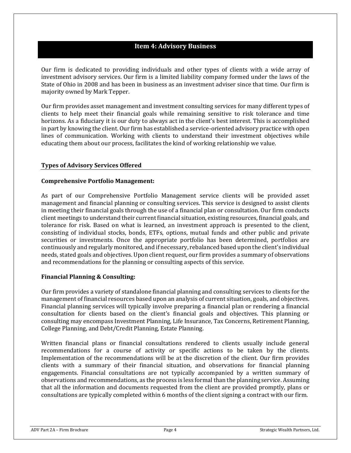### **Item 4: Advisory Business**

Our firm is dedicated to providing individuals and other types of clients with a wide array of investment advisory services. Our firm is a limited liability company formed under the laws of the State of Ohio in 2008 and has been in business as an investment adviser since that time. Our firm is majority owned by Mark Tepper.

Our firm provides asset management and investment consulting services for many different types of clients to help meet their financial goals while remaining sensitive to risk tolerance and time horizons. As a fiduciary it is our duty to always act in the client's best interest. This is accomplished in part by knowing the client. Our firm has established a service-oriented advisory practice with open lines of communication. Working with clients to understand their investment objectives while educating them about our process, facilitates the kind of working relationship we value.

#### **Types of Advisory Services Offered**

#### **Comprehensive Portfolio Management:**

As part of our Comprehensive Portfolio Management service clients will be provided asset management and financial planning or consulting services. This service is designed to assist clients in meeting their financial goals through the use of a financial plan or consultation. Our firm conducts client meetings to understand their current financial situation, existing resources, financial goals, and tolerance for risk. Based on what is learned, an investment approach is presented to the client, consisting of individual stocks, bonds, ETFs, options, mutual funds and other public and private securities or investments. Once the appropriate portfolio has been determined, portfolios are continuously and regularly monitored, and if necessary, rebalanced based upon the client's individual needs, stated goals and objectives. Upon client request, our firm provides a summary of observations and recommendations for the planning or consulting aspects of this service.

#### **Financial Planning & Consulting:**

Our firm provides a variety of standalone financial planning and consulting services to clients for the management of financial resources based upon an analysis of current situation, goals, and objectives. Financial planning services will typically involve preparing a financial plan or rendering a financial consultation for clients based on the client's financial goals and objectives. This planning or consulting may encompass Investment Planning, Life Insurance, Tax Concerns, Retirement Planning, College Planning, and Debt/Credit Planning, Estate Planning.

Written financial plans or financial consultations rendered to clients usually include general recommendations for a course of activity or specific actions to be taken by the clients. Implementation of the recommendations will be at the discretion of the client. Our firm provides clients with a summary of their financial situation, and observations for financial planning engagements. Financial consultations are not typically accompanied by a written summary of observations and recommendations, as the process is less formal than the planning service. Assuming that all the information and documents requested from the client are provided promptly, plans or consultations are typically completed within 6 months of the client signing a contract with our firm.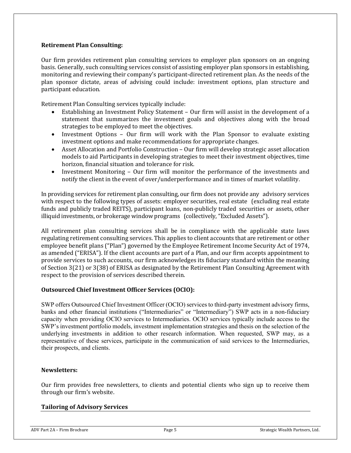#### **Retirement Plan Consulting:**

Our firm provides retirement plan consulting services to employer plan sponsors on an ongoing basis. Generally, such consulting services consist of assisting employer plan sponsors in establishing, monitoring and reviewing their company's participant-directed retirement plan. As the needs of the plan sponsor dictate, areas of advising could include: investment options, plan structure and participant education.

Retirement Plan Consulting services typically include:

- Establishing an Investment Policy Statement Our firm will assist in the development of a statement that summarizes the investment goals and objectives along with the broad strategies to be employed to meet the objectives.
- Investment Options Our firm will work with the Plan Sponsor to evaluate existing investment options and make recommendations for appropriate changes.
- Asset Allocation and Portfolio Construction Our firm will develop strategic asset allocation models to aid Participants in developing strategies to meet their investment objectives, time horizon, financial situation and tolerance for risk.
- Investment Monitoring Our firm will monitor the performance of the investments and notify the client in the event of over/underperformance and in times of market volatility.

In providing services for retirement plan consulting, our firm does not provide any advisory services with respect to the following types of assets: employer securities, real estate (excluding real estate funds and publicly traded REITS), participant loans, non-publicly traded securities or assets, other illiquid investments, or brokerage window programs (collectively, "Excluded Assets").

All retirement plan consulting services shall be in compliance with the applicable state laws regulating retirement consulting services. This applies to client accounts that are retirement or other employee benefit plans ("Plan") governed by the Employee Retirement Income Security Act of 1974, as amended ("ERISA"). If the client accounts are part of a Plan, and our firm accepts appointment to provide services to such accounts, our firm acknowledges its fiduciary standard within the meaning of Section 3(21) or 3(38) of ERISA as designated by the Retirement Plan Consulting Agreement with respect to the provision of services described therein.

### **Outsourced Chief Investment Officer Services (OCIO):**

SWP offers Outsourced Chief Investment Officer (OCIO) services to third-party investment advisory firms, banks and other financial institutions ("Intermediaries" or "Intermediary") SWP acts in a non-fiduciary capacity when providing OCIO services to Intermediaries. OCIO services typically include access to the SWP's investment portfolio models, investment implementation strategies and thesis on the selection of the underlying investments in addition to other research information. When requested, SWP may, as a representative of these services, participate in the communication of said services to the Intermediaries, their prospects, and clients.

#### **Newsletters:**

Our firm provides free newsletters, to clients and potential clients who sign up to receive them through our firm's website.

#### **Tailoring of Advisory Services**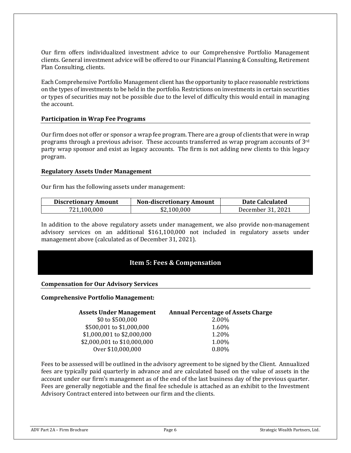Our firm offers individualized investment advice to our Comprehensive Portfolio Management clients. General investment advice will be offered to our Financial Planning & Consulting, Retirement Plan Consulting, clients.

Each Comprehensive Portfolio Management client has the opportunity to place reasonable restrictions on the types of investments to be held in the portfolio. Restrictions on investments in certain securities or types of securities may not be possible due to the level of difficulty this would entail in managing the account.

#### **Participation in Wrap Fee Programs**

Our firm does not offer or sponsor a wrap fee program. There are a group of clients that were in wrap programs through a previous advisor. These accounts transferred as wrap program accounts of 3rd party wrap sponsor and exist as legacy accounts. The firm is not adding new clients to this legacy program.

#### **Regulatory Assets Under Management**

Our firm has the following assets under management:

| <b>Discretionary Amount</b> | <b>Non-discretionary Amount</b> | <b>Date Calculated</b> |
|-----------------------------|---------------------------------|------------------------|
| 721,100,000                 | \$2,100,000                     | December 31, 2021      |

In addition to the above regulatory assets under management, we also provide non-management advisory services on an additional \$161,100,000 not included in regulatory assets under management above (calculated as of December 31, 2021).

# **Item 5: Fees & Compensation**

#### **Compensation for Our Advisory Services**

#### **Comprehensive Portfolio Management:**

| <b>Assets Under Management</b> | <b>Annual Percentage of Assets Charge</b> |
|--------------------------------|-------------------------------------------|
| \$0 to \$500,000               | 2.00%                                     |
| \$500,001 to \$1,000,000       | 1.60%                                     |
| \$1,000,001 to \$2,000,000     | 1.20%                                     |
| \$2,000,001 to \$10,000,000    | 1.00%                                     |
| Over \$10,000,000              | 0.80%                                     |

Fees to be assessed will be outlined in the advisory agreement to be signed by the Client. Annualized fees are typically paid quarterly in advance and are calculated based on the value of assets in the account under our firm's management as of the end of the last business day of the previous quarter. Fees are generally negotiable and the final fee schedule is attached as an exhibit to the Investment Advisory Contract entered into between our firm and the clients.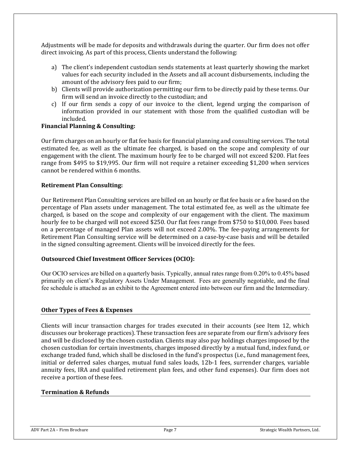Adjustments will be made for deposits and withdrawals during the quarter. Our firm does not offer direct invoicing. As part of this process, Clients understand the following:

- a) The client's independent custodian sends statements at least quarterly showing the market values for each security included in the Assets and all account disbursements, including the amount of the advisory fees paid to our firm;
- b) Clients will provide authorization permitting our firm to be directly paid by these terms. Our firm will send an invoice directly to the custodian; and
- c) If our firm sends a copy of our invoice to the client, legend urging the comparison of information provided in our statement with those from the qualified custodian will be included.

#### **Financial Planning & Consulting:**

Our firm charges on an hourly or flat fee basis for financial planning and consulting services. The total estimated fee, as well as the ultimate fee charged, is based on the scope and complexity of our engagement with the client. The maximum hourly fee to be charged will not exceed \$200. Flat fees range from \$495 to \$19,995. Our firm will not require a retainer exceeding \$1,200 when services cannot be rendered within 6 months.

#### **Retirement Plan Consulting:**

Our Retirement Plan Consulting services are billed on an hourly or flat fee basis or a fee based on the percentage of Plan assets under management. The total estimated fee, as well as the ultimate fee charged, is based on the scope and complexity of our engagement with the client. The maximum hourly fee to be charged will not exceed \$250. Our flat fees range from \$750 to \$10,000. Fees based on a percentage of managed Plan assets will not exceed 2.00%. The fee-paying arrangements for Retirement Plan Consulting service will be determined on a case-by-case basis and will be detailed in the signed consulting agreement. Clients will be invoiced directly for the fees.

#### **Outsourced Chief Investment Officer Services (OCIO):**

Our OCIO services are billed on a quarterly basis. Typically, annual rates range from 0.20% to 0.45% based primarily on client's Regulatory Assets Under Management. Fees are generally negotiable, and the final fee schedule is attached as an exhibit to the Agreement entered into between our firm and the Intermediary.

#### **Other Types of Fees & Expenses**

Clients will incur transaction charges for trades executed in their accounts (see Item 12, which discusses our brokerage practices). These transaction fees are separate from our firm's advisory fees and will be disclosed by the chosen custodian. Clients may also pay holdings charges imposed by the chosen custodian for certain investments, charges imposed directly by a mutual fund, index fund, or exchange traded fund, which shall be disclosed in the fund's prospectus (i.e., fund management fees, initial or deferred sales charges, mutual fund sales loads, 12b-1 fees, surrender charges, variable annuity fees, IRA and qualified retirement plan fees, and other fund expenses). Our firm does not receive a portion of these fees.

#### **Termination & Refunds**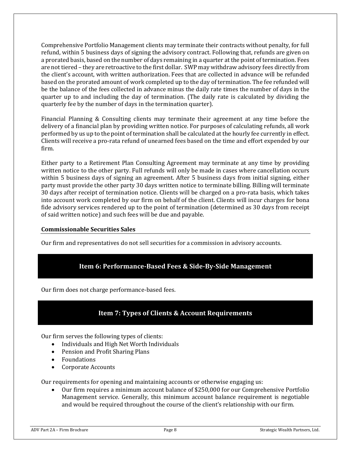Comprehensive Portfolio Management clients may terminate their contracts without penalty, for full refund, within 5 business days of signing the advisory contract. Following that, refunds are given on a prorated basis, based on the number of days remaining in a quarter at the point of termination. Fees are not tiered – they are retroactive to the first dollar. SWP may withdraw advisory fees directly from the client's account, with written authorization. Fees that are collected in advance will be refunded based on the prorated amount of work completed up to the day of termination. The fee refunded will be the balance of the fees collected in advance minus the daily rate times the number of days in the quarter up to and including the day of termination. (The daily rate is calculated by dividing the quarterly fee by the number of days in the termination quarter).

Financial Planning & Consulting clients may terminate their agreement at any time before the delivery of a financial plan by providing written notice. For purposes of calculating refunds, all work performed by us up to the point of termination shall be calculated at the hourly fee currently in effect. Clients will receive a pro-rata refund of unearned fees based on the time and effort expended by our firm.

Either party to a Retirement Plan Consulting Agreement may terminate at any time by providing written notice to the other party. Full refunds will only be made in cases where cancellation occurs within 5 business days of signing an agreement. After 5 business days from initial signing, either party must provide the other party 30 days written notice to terminate billing. Billing will terminate 30 days after receipt of termination notice. Clients will be charged on a pro-rata basis, which takes into account work completed by our firm on behalf of the client. Clients will incur charges for bona fide advisory services rendered up to the point of termination (determined as 30 days from receipt of said written notice) and such fees will be due and payable.

#### **Commissionable Securities Sales**

Our firm and representatives do not sell securities for a commission in advisory accounts.

# **Item 6: Performance‐Based Fees & Side‐By‐Side Management**

Our firm does not charge performance-based fees.

# **Item 7: Types of Clients & Account Requirements**

Our firm serves the following types of clients:

- Individuals and High Net Worth Individuals
- Pension and Profit Sharing Plans
- Foundations
- Corporate Accounts

Our requirements for opening and maintaining accounts or otherwise engaging us:

 Our firm requires a minimum account balance of \$250,000 for our Comprehensive Portfolio Management service. Generally, this minimum account balance requirement is negotiable and would be required throughout the course of the client's relationship with our firm.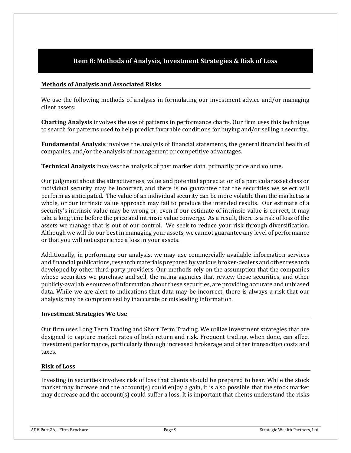# **Item 8: Methods of Analysis, Investment Strategies & Risk of Loss**

#### **Methods of Analysis and Associated Risks**

We use the following methods of analysis in formulating our investment advice and/or managing client assets:

**Charting Analysis** involves the use of patterns in performance charts. Our firm uses this technique to search for patterns used to help predict favorable conditions for buying and/or selling a security.

**Fundamental Analysis** involves the analysis of financial statements, the general financial health of companies, and/or the analysis of management or competitive advantages.

**Technical Analysis** involves the analysis of past market data, primarily price and volume.

Our judgment about the attractiveness, value and potential appreciation of a particular asset class or individual security may be incorrect, and there is no guarantee that the securities we select will perform as anticipated. The value of an individual security can be more volatile than the market as a whole, or our intrinsic value approach may fail to produce the intended results. Our estimate of a security's intrinsic value may be wrong or, even if our estimate of intrinsic value is correct, it may take a long time before the price and intrinsic value converge. As a result, there is a risk of loss of the assets we manage that is out of our control. We seek to reduce your risk through diversification. Although we will do our best in managing your assets, we cannot guarantee any level of performance or that you will not experience a loss in your assets.

Additionally, in performing our analysis, we may use commercially available information services and financial publications, research materials prepared by various broker-dealers and other research developed by other third-party providers. Our methods rely on the assumption that the companies whose securities we purchase and sell, the rating agencies that review these securities, and other publicly-available sources of information about these securities, are providing accurate and unbiased data. While we are alert to indications that data may be incorrect, there is always a risk that our analysis may be compromised by inaccurate or misleading information.

#### **Investment Strategies We Use**

Our firm uses Long Term Trading and Short Term Trading. We utilize investment strategies that are designed to capture market rates of both return and risk. Frequent trading, when done, can affect investment performance, particularly through increased brokerage and other transaction costs and taxes.

#### **Risk of Loss**

Investing in securities involves risk of loss that clients should be prepared to bear. While the stock market may increase and the account(s) could enjoy a gain, it is also possible that the stock market may decrease and the account(s) could suffer a loss. It is important that clients understand the risks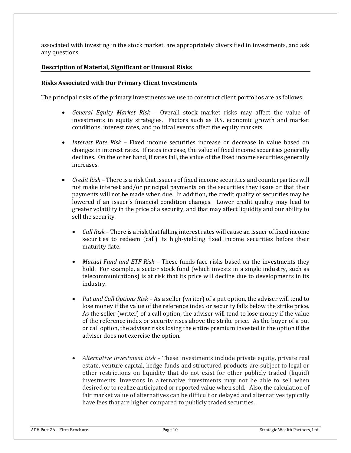associated with investing in the stock market, are appropriately diversified in investments, and ask any questions.

### **Description of Material, Significant or Unusual Risks**

#### **Risks Associated with Our Primary Client Investments**

The principal risks of the primary investments we use to construct client portfolios are as follows:

- *General Equity Market Risk* Overall stock market risks may affect the value of investments in equity strategies. Factors such as U.S. economic growth and market conditions, interest rates, and political events affect the equity markets.
- *Interest Rate Risk* Fixed income securities increase or decrease in value based on changes in interest rates. If rates increase, the value of fixed income securities generally declines. On the other hand, if rates fall, the value of the fixed income securities generally increases.
- *Credit Risk* There is a risk that issuers of fixed income securities and counterparties will not make interest and/or principal payments on the securities they issue or that their payments will not be made when due. In addition, the credit quality of securities may be lowered if an issuer's financial condition changes. Lower credit quality may lead to greater volatility in the price of a security, and that may affect liquidity and our ability to sell the security.
	- *Call Risk* There is a risk that falling interest rates will cause an issuer of fixed income securities to redeem (call) its high-yielding fixed income securities before their maturity date.
	- *Mutual Fund and ETF Risk* These funds face risks based on the investments they hold. For example, a sector stock fund (which invests in a single industry, such as telecommunications) is at risk that its price will decline due to developments in its industry.
	- *Put and Call Options Risk* As a seller (writer) of a put option, the adviser will tend to lose money if the value of the reference index or security falls below the strike price. As the seller (writer) of a call option, the adviser will tend to lose money if the value of the reference index or security rises above the strike price. As the buyer of a put or call option, the adviser risks losing the entire premium invested in the option if the adviser does not exercise the option.
	- *Alternative Investment Risk* These investments include private equity, private real estate, venture capital, hedge funds and structured products are subject to legal or other restrictions on liquidity that do not exist for other publicly traded (liquid) investments. Investors in alternative investments may not be able to sell when desired or to realize anticipated or reported value when sold. Also, the calculation of fair market value of alternatives can be difficult or delayed and alternatives typically have fees that are higher compared to publicly traded securities.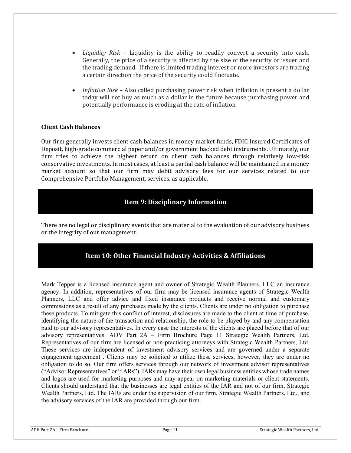- *Liquidity Risk* Liquidity is the ability to readily convert a security into cash. Generally, the price of a security is affected by the size of the security or issuer and the trading demand. If there is limited trading interest or more investors are trading a certain direction the price of the security could fluctuate.
- *Inflation Risk* Also called purchasing power risk when inflation is present a dollar today will not buy as much as a dollar in the future because purchasing power and potentially performance is eroding at the rate of inflation.

#### **Client Cash Balances**

Our firm generally invests client cash balances in money market funds, FDIC Insured Certificates of Deposit, high-grade commercial paper and/or government backed debt instruments. Ultimately, our firm tries to achieve the highest return on client cash balances through relatively low-risk conservative investments. In most cases, at least a partial cash balance will be maintained in a money market account so that our firm may debit advisory fees for our services related to our Comprehensive Portfolio Management, services, as applicable.

# **Item 9: Disciplinary Information**

There are no legal or disciplinary events that are material to the evaluation of our advisory business or the integrity of our management.

# **Item 10: Other Financial Industry Activities & Affiliations**

Mark Tepper is a licensed insurance agent and owner of Strategic Wealth Planners, LLC an insurance agency. In addition, representatives of our firm may be licensed insurance agents of Strategic Wealth Planners, LLC and offer advice and fixed insurance products and receive normal and customary commissions as a result of any purchases made by the clients. Clients are under no obligation to purchase these products. To mitigate this conflict of interest, disclosures are made to the client at time of purchase, identifying the nature of the transaction and relationship, the role to be played by and any compensation paid to our advisory representatives. In every case the interests of the clients are placed before that of our advisory representatives. ADV Part 2A – Firm Brochure Page 11 Strategic Wealth Partners, Ltd. Representatives of our firm are licensed or non-practicing attorneys with Strategic Wealth Partners, Ltd. These services are independent of investment advisory services and are governed under a separate engagement agreement . Clients may be solicited to utilize these services, however, they are under no obligation to do so. Our firm offers services through our network of investment advisor representatives ("Advisor Representatives" or "IARs"). IARs may have their own legal business entities whose trade names and logos are used for marketing purposes and may appear on marketing materials or client statements. Clients should understand that the businesses are legal entities of the IAR and not of our firm, Strategic Wealth Partners, Ltd. The IARs are under the supervision of our firm, Strategic Wealth Partners, Ltd., and the advisory services of the IAR are provided through our firm.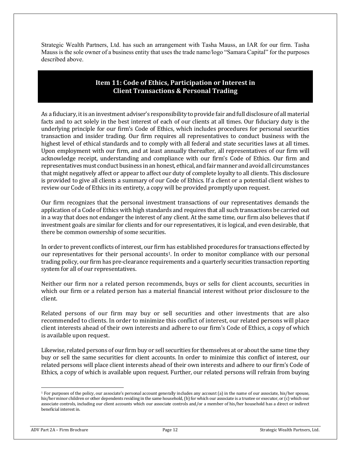Strategic Wealth Partners, Ltd. has such an arrangement with Tasha Mauss, an IAR for our firm. Tasha Mauss is the sole owner of a business entity that uses the trade name/logo "Samara Capital" for the purposes described above.

### **Item 11: Code of Ethics, Participation or Interest in Client Transactions & Personal Trading**

As a fiduciary, it is an investment adviser's responsibility to provide fair and full disclosure of all material facts and to act solely in the best interest of each of our clients at all times. Our fiduciary duty is the underlying principle for our firm's Code of Ethics, which includes procedures for personal securities transaction and insider trading. Our firm requires all representatives to conduct business with the highest level of ethical standards and to comply with all federal and state securities laws at all times. Upon employment with our firm, and at least annually thereafter, all representatives of our firm will acknowledge receipt, understanding and compliance with our firm's Code of Ethics. Our firm and representatives must conduct business in an honest, ethical, and fair manner and avoid all circumstances that might negatively affect or appear to affect our duty of complete loyalty to all clients. This disclosure is provided to give all clients a summary of our Code of Ethics. If a client or a potential client wishes to review our Code of Ethics in its entirety, a copy will be provided promptly upon request.

Our firm recognizes that the personal investment transactions of our representatives demands the application of a Code of Ethics with high standards and requires that all such transactions be carried out in a way that does not endanger the interest of any client. At the same time, our firm also believes that if investment goals are similar for clients and for our representatives, it is logical, and even desirable, that there be common ownership of some securities.

In order to prevent conflicts of interest, our firm has established procedures for transactions effected by our representatives for their personal accounts1. In order to monitor compliance with our personal trading policy, our firm has pre-clearance requirements and a quarterly securities transaction reporting system for all of our representatives.

Neither our firm nor a related person recommends, buys or sells for client accounts, securities in which our firm or a related person has a material financial interest without prior disclosure to the client.

Related persons of our firm may buy or sell securities and other investments that are also recommended to clients. In order to minimize this conflict of interest, our related persons will place client interests ahead of their own interests and adhere to our firm's Code of Ethics, a copy of which is available upon request.

Likewise, related persons of our firm buy or sell securities for themselves at or about the same time they buy or sell the same securities for client accounts. In order to minimize this conflict of interest, our related persons will place client interests ahead of their own interests and adhere to our firm's Code of Ethics, a copy of which is available upon request. Further, our related persons will refrain from buying

<sup>&</sup>lt;sup>1</sup> For purposes of the policy, our associate's personal account generally includes any account (a) in the name of our associate, his/her spouse, his/her minor children or other dependents residing in the same household, (b) for which our associate is a trustee or executor, or (c) which our associate controls, including our client accounts which our associate controls and/or a member of his/her household has a direct or indirect beneficial interest in.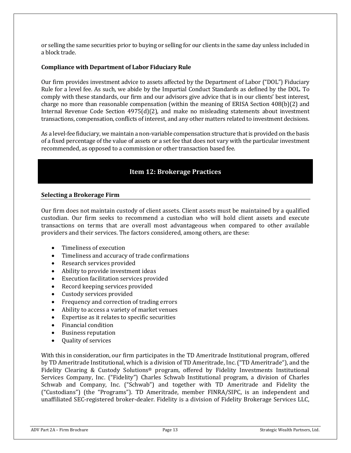or selling the same securities prior to buying or selling for our clients in the same day unless included in a block trade.

#### **Compliance with Department of Labor Fiduciary Rule**

Our firm provides investment advice to assets affected by the Department of Labor ("DOL") Fiduciary Rule for a level fee. As such, we abide by the Impartial Conduct Standards as defined by the DOL. To comply with these standards, our firm and our advisors give advice that is in our clients' best interest, charge no more than reasonable compensation (within the meaning of ERISA Section 408(b)(2) and Internal Revenue Code Section 4975(d)(2), and make no misleading statements about investment transactions, compensation, conflicts of interest, and any other matters related to investment decisions.

As a level-fee fiduciary, we maintain a non-variable compensation structure that is provided on the basis of a fixed percentage of the value of assets or a set fee that does not vary with the particular investment recommended, as opposed to a commission or other transaction based fee.

# **Item 12: Brokerage Practices**

#### **Selecting a Brokerage Firm**

Our firm does not maintain custody of client assets. Client assets must be maintained by a qualified custodian. Our firm seeks to recommend a custodian who will hold client assets and execute transactions on terms that are overall most advantageous when compared to other available providers and their services. The factors considered, among others, are these:

- Timeliness of execution
- Timeliness and accuracy of trade confirmations
- Research services provided
- Ability to provide investment ideas
- Execution facilitation services provided
- Record keeping services provided
- Custody services provided
- Frequency and correction of trading errors
- Ability to access a variety of market venues
- Expertise as it relates to specific securities
- Financial condition
- Business reputation
- Quality of services

With this in consideration, our firm participates in the TD Ameritrade Institutional program, offered by TD Ameritrade Institutional, which is a division of TD Ameritrade, Inc. ("TD Ameritrade"), and the Fidelity Clearing & Custody Solutions® program, offered by Fidelity Investments Institutional Services Company, Inc. ("Fidelity") Charles Schwab Institutional program, a division of Charles Schwab and Company, Inc. ("Schwab") and together with TD Ameritrade and Fidelity the ("Custodians") (the "Programs"). TD Ameritrade, member FINRA/SIPC, is an independent and unaffiliated SEC-registered broker-dealer. Fidelity is a division of Fidelity Brokerage Services LLC,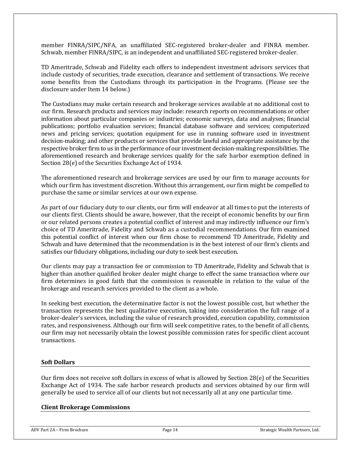member FINRA/SIPC/NFA, an unaffiliated SEC-registered broker-dealer and FINRA member. Schwab, member FINRA/SIPC, is an independent and unaffiliated SEC-registered broker-dealer.

TD Ameritrade, Schwab and Fidelity each offers to independent investment advisors services that include custody of securities, trade execution, clearance and settlement of transactions. We receive some benefits from the Custodians through its participation in the Programs. (Please see the disclosure under Item 14 below.)

The Custodians may make certain research and brokerage services available at no additional cost to our firm. Research products and services may include: research reports on recommendations or other information about particular companies or industries; economic surveys, data and analyses; financial publications; portfolio evaluation services; financial database software and services; computerized news and pricing services; quotation equipment for use in running software used in investment decision-making; and other products or services that provide lawful and appropriate assistance by the respective broker firm to us in the performance of our investment decision-making responsibilities. The aforementioned research and brokerage services qualify for the safe harbor exemption defined in Section 28(e) of the Securities Exchange Act of 1934.

The aforementioned research and brokerage services are used by our firm to manage accounts for which our firm has investment discretion. Without this arrangement, our firm might be compelled to purchase the same or similar services at our own expense.

As part of our fiduciary duty to our clients, our firm will endeavor at all times to put the interests of our clients first. Clients should be aware, however, that the receipt of economic benefits by our firm or our related persons creates a potential conflict of interest and may indirectly influence our firm's choice of TD Ameritrade, Fidelity and Schwab as a custodial recommendations. Our firm examined this potential conflict of interest when our firm chose to recommend TD Ameritrade, Fidelity and Schwab and have determined that the recommendation is in the best interest of our firm's clients and satisfies our fiduciary obligations, including our duty to seek best execution.

Our clients may pay a transaction fee or commission to TD Ameritrade, Fidelity and Schwab that is higher than another qualified broker dealer might charge to effect the same transaction where our firm determines in good faith that the commission is reasonable in relation to the value of the brokerage and research services provided to the client as a whole.

In seeking best execution, the determinative factor is not the lowest possible cost, but whether the transaction represents the best qualitative execution, taking into consideration the full range of a broker-dealer's services, including the value of research provided, execution capability, commission rates, and responsiveness. Although our firm will seek competitive rates, to the benefit of all clients, our firm may not necessarily obtain the lowest possible commission rates for specific client account transactions.

#### **Soft Dollars**

Our firm does not receive soft dollars in excess of what is allowed by Section 28(e) of the Securities Exchange Act of 1934. The safe harbor research products and services obtained by our firm will generally be used to service all of our clients but not necessarily all at any one particular time.

#### **Client Brokerage Commissions**

ADV Part 2A – Firm Brochure **Page 14** Page 14 Strategic Wealth Partners, Ltd.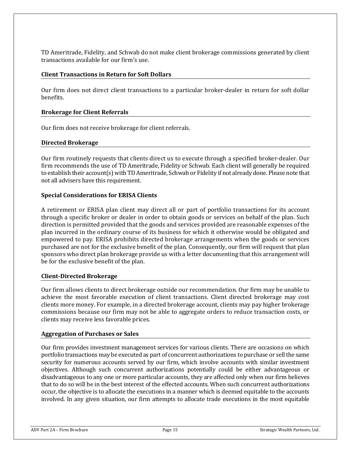TD Ameritrade, Fidelity, and Schwab do not make client brokerage commissions generated by client transactions available for our firm's use.

#### **Client Transactions in Return for Soft Dollars**

Our firm does not direct client transactions to a particular broker-dealer in return for soft dollar benefits.

#### **Brokerage for Client Referrals**

Our firm does not receive brokerage for client referrals.

#### **Directed Brokerage**

Our firm routinely requests that clients direct us to execute through a specified broker-dealer. Our firm recommends the use of TD Ameritrade, Fidelity or Schwab. Each client will generally be required to establish their account(s) with TD Ameritrade, Schwab or Fidelity if not already done. Please note that not all advisers have this requirement.

#### **Special Considerations for ERISA Clients**

A retirement or ERISA plan client may direct all or part of portfolio transactions for its account through a specific broker or dealer in order to obtain goods or services on behalf of the plan. Such direction is permitted provided that the goods and services provided are reasonable expenses of the plan incurred in the ordinary course of its business for which it otherwise would be obligated and empowered to pay. ERISA prohibits directed brokerage arrangements when the goods or services purchased are not for the exclusive benefit of the plan. Consequently, our firm will request that plan sponsors who direct plan brokerage provide us with a letter documenting that this arrangement will be for the exclusive benefit of the plan.

#### **Client‐Directed Brokerage**

Our firm allows clients to direct brokerage outside our recommendation. Our firm may be unable to achieve the most favorable execution of client transactions. Client directed brokerage may cost clients more money. For example, in a directed brokerage account, clients may pay higher brokerage commissions because our firm may not be able to aggregate orders to reduce transaction costs, or clients may receive less favorable prices.

#### **Aggregation of Purchases or Sales**

Our firm provides investment management services for various clients. There are occasions on which portfolio transactions may be executed as part of concurrent authorizations to purchase or sell the same security for numerous accounts served by our firm, which involve accounts with similar investment objectives. Although such concurrent authorizations potentially could be either advantageous or disadvantageous to any one or more particular accounts, they are affected only when our firm believes that to do so will be in the best interest of the effected accounts. When such concurrent authorizations occur, the objective is to allocate the executions in a manner which is deemed equitable to the accounts involved. In any given situation, our firm attempts to allocate trade executions in the most equitable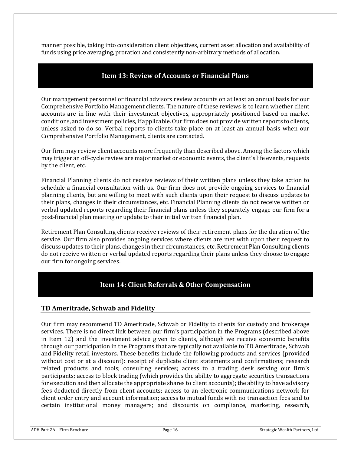manner possible, taking into consideration client objectives, current asset allocation and availability of funds using price averaging, proration and consistently non-arbitrary methods of allocation.

### **Item 13: Review of Accounts or Financial Plans**

Our management personnel or financial advisors review accounts on at least an annual basis for our Comprehensive Portfolio Management clients. The nature of these reviews is to learn whether client accounts are in line with their investment objectives, appropriately positioned based on market conditions, and investment policies, if applicable. Our firm does not provide written reports to clients, unless asked to do so. Verbal reports to clients take place on at least an annual basis when our Comprehensive Portfolio Management, clients are contacted.

Our firm may review client accounts more frequently than described above. Among the factors which may trigger an off-cycle review are major market or economic events, the client's life events, requests by the client, etc.

Financial Planning clients do not receive reviews of their written plans unless they take action to schedule a financial consultation with us. Our firm does not provide ongoing services to financial planning clients, but are willing to meet with such clients upon their request to discuss updates to their plans, changes in their circumstances, etc. Financial Planning clients do not receive written or verbal updated reports regarding their financial plans unless they separately engage our firm for a post-financial plan meeting or update to their initial written financial plan.

Retirement Plan Consulting clients receive reviews of their retirement plans for the duration of the service. Our firm also provides ongoing services where clients are met with upon their request to discuss updates to their plans, changes in their circumstances, etc. Retirement Plan Consulting clients do not receive written or verbal updated reports regarding their plans unless they choose to engage our firm for ongoing services.

# **Item 14: Client Referrals & Other Compensation**

### **TD Ameritrade, Schwab and Fidelity**

Our firm may recommend TD Ameritrade, Schwab or Fidelity to clients for custody and brokerage services. There is no direct link between our firm's participation in the Programs (described above in Item 12) and the investment advice given to clients, although we receive economic benefits through our participation in the Programs that are typically not available to TD Ameritrade, Schwab and Fidelity retail investors. These benefits include the following products and services (provided without cost or at a discount): receipt of duplicate client statements and confirmations; research related products and tools; consulting services; access to a trading desk serving our firm's participants; access to block trading (which provides the ability to aggregate securities transactions for execution and then allocate the appropriate shares to client accounts); the ability to have advisory fees deducted directly from client accounts; access to an electronic communications network for client order entry and account information; access to mutual funds with no transaction fees and to certain institutional money managers; and discounts on compliance, marketing, research,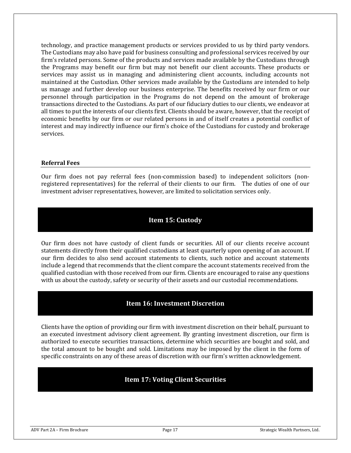technology, and practice management products or services provided to us by third party vendors. The Custodians may also have paid for business consulting and professional services received by our firm's related persons. Some of the products and services made available by the Custodians through the Programs may benefit our firm but may not benefit our client accounts. These products or services may assist us in managing and administering client accounts, including accounts not maintained at the Custodian. Other services made available by the Custodians are intended to help us manage and further develop our business enterprise. The benefits received by our firm or our personnel through participation in the Programs do not depend on the amount of brokerage transactions directed to the Custodians. As part of our fiduciary duties to our clients, we endeavor at all times to put the interests of our clients first. Clients should be aware, however, that the receipt of economic benefits by our firm or our related persons in and of itself creates a potential conflict of interest and may indirectly influence our firm's choice of the Custodians for custody and brokerage services.

#### **Referral Fees**

Our firm does not pay referral fees (non-commission based) to independent solicitors (nonregistered representatives) for the referral of their clients to our firm. The duties of one of our investment adviser representatives, however, are limited to solicitation services only.

### **Item 15: Custody**

Our firm does not have custody of client funds or securities. All of our clients receive account statements directly from their qualified custodians at least quarterly upon opening of an account. If our firm decides to also send account statements to clients, such notice and account statements include a legend that recommends that the client compare the account statements received from the qualified custodian with those received from our firm. Clients are encouraged to raise any questions with us about the custody, safety or security of their assets and our custodial recommendations.

# **Item 16: Investment Discretion**

Clients have the option of providing our firm with investment discretion on their behalf, pursuant to an executed investment advisory client agreement. By granting investment discretion, our firm is authorized to execute securities transactions, determine which securities are bought and sold, and the total amount to be bought and sold. Limitations may be imposed by the client in the form of specific constraints on any of these areas of discretion with our firm's written acknowledgement.

# **Item 17: Voting Client Securities**